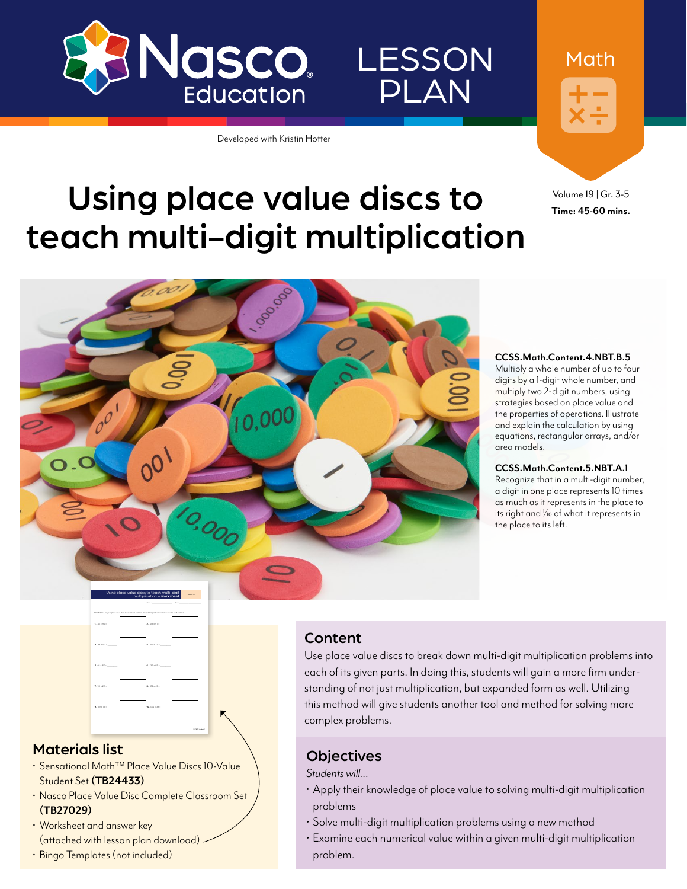

Developed with Kristin Hotter



Math

LESSON

PLAN

Volume 19 | Gr. 3-5 **Time: 45-60 mins.**

# Using place value discs to teach multi-digit multiplication



#### **CCSS.Math.Content.4.NBT.B.5**

Multiply a whole number of up to four digits by a 1-digit whole number, and multiply two 2-digit numbers, using strategies based on place value and the properties of operations. Illustrate and explain the calculation by using equations, rectangular arrays, and/or area models.

#### **CCSS.Math.Content.5.NBT.A.1**

Recognize that in a multi-digit number, a digit in one place represents 10 times as much as it represents in the place to its right and  $\frac{1}{10}$  of what it represents in the place to its left.



#### Materials list

- Sensational Math™ Place Value Discs 10-Value Student Set **([TB24433](http://www.enasco.com/p/TB24433))**
- Nasco Place Value Disc Complete Classroom Set **([TB27029](http://www.enasco.com/p/TB27029))**
- Worksheet and answer key (attached with lesson plan download)
- Bingo Templates (not included)

#### Content

Use place value discs to break down multi-digit multiplication problems into each of its given parts. In doing this, students will gain a more firm understanding of not just multiplication, but expanded form as well. Utilizing this method will give students another tool and method for solving more complex problems.

#### **Objectives**

*Students will…*

- Apply their knowledge of place value to solving multi-digit multiplication problems
- Solve multi-digit multiplication problems using a new method
- Examine each numerical value within a given multi-digit multiplication problem.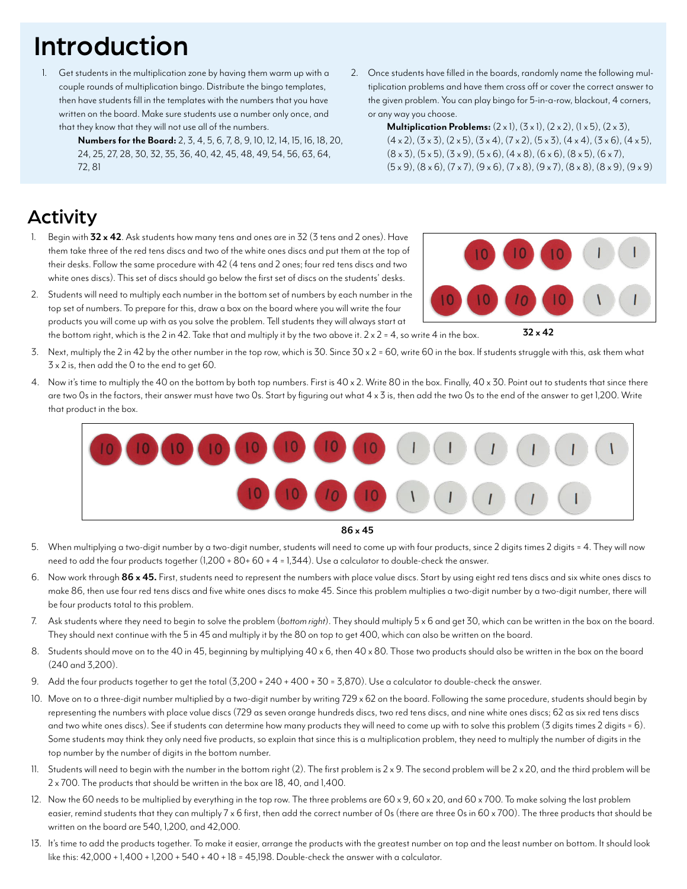## Introduction

- Get students in the multiplication zone by having them warm up with a couple rounds of multiplication bingo. Distribute the bingo templates, then have students fill in the templates with the numbers that you have written on the board. Make sure students use a number only once, and that they know that they will not use all of the numbers.
	- **Numbers for the Board:** 2, 3, 4, 5, 6, 7, 8, 9, 10, 12, 14, 15, 16, 18, 20, 24, 25, 27, 28, 30, 32, 35, 36, 40, 42, 45, 48, 49, 54, 56, 63, 64, 72, 81
- 2. Once students have filled in the boards, randomly name the following multiplication problems and have them cross off or cover the correct answer to the given problem. You can play bingo for 5-in-a-row, blackout, 4 corners, or any way you choose.

**Multiplication Problems:**  $(2 \times 1)$ ,  $(3 \times 1)$ ,  $(2 \times 2)$ ,  $(1 \times 5)$ ,  $(2 \times 3)$ ,  $(4 \times 2)$ ,  $(3 \times 3)$ ,  $(2 \times 5)$ ,  $(3 \times 4)$ ,  $(7 \times 2)$ ,  $(5 \times 3)$ ,  $(4 \times 4)$ ,  $(3 \times 6)$ ,  $(4 \times 5)$ ,  $(8 \times 3)$ ,  $(5 \times 5)$ ,  $(3 \times 9)$ ,  $(5 \times 6)$ ,  $(4 \times 8)$ ,  $(6 \times 6)$ ,  $(8 \times 5)$ ,  $(6 \times 7)$ ,  $(5 \times 9)$ ,  $(8 \times 6)$ ,  $(7 \times 7)$ ,  $(9 \times 6)$ ,  $(7 \times 8)$ ,  $(9 \times 7)$ ,  $(8 \times 8)$ ,  $(8 \times 9)$ ,  $(9 \times 9)$ 

### Activity

- 1. Begin with **32 x 42**. Ask students how many tens and ones are in 32 (3 tens and 2 ones). Have them take three of the red tens discs and two of the white ones discs and put them at the top of their desks. Follow the same procedure with 42 (4 tens and 2 ones; four red tens discs and two white ones discs). This set of discs should go below the first set of discs on the students' desks.
- 2. Students will need to multiply each number in the bottom set of numbers by each number in the top set of numbers. To prepare for this, draw a box on the board where you will write the four products you will come up with as you solve the problem. Tell students they will always start at the bottom right, which is the 2 in 42. Take that and multiply it by the two above it.  $2 \times 2 = 4$ , so write 4 in the box.
- 3. Next, multiply the 2 in 42 by the other number in the top row, which is 30. Since 30 x 2 = 60, write 60 in the box. If students struggle with this, ask them what 3 x 2 is, then add the 0 to the end to get 60.
- 4. Now it's time to multiply the 40 on the bottom by both top numbers. First is 40 x 2. Write 80 in the box. Finally, 40 x 30. Point out to students that since there are two Os in the factors, their answer must have two Os. Start by figuring out what 4 x 3 is, then add the two Os to the end of the answer to get 1,200. Write that product in the box.



#### **86 x 45**

- 5. When multiplying a two-digit number by a two-digit number, students will need to come up with four products, since 2 digits times 2 digits = 4. They will now need to add the four products together (1,200 + 80+ 60 + 4 = 1,344). Use a calculator to double-check the answer.
- 6. Now work through **86 x 45.** First, students need to represent the numbers with place value discs. Start by using eight red tens discs and six white ones discs to make 86, then use four red tens discs and five white ones discs to make 45. Since this problem multiplies a two-digit number by a two-digit number, there will be four products total to this problem.
- 7. Ask students where they need to begin to solve the problem (*bottom right*). They should multiply 5 x 6 and get 30, which can be written in the box on the board. They should next continue with the 5 in 45 and multiply it by the 80 on top to get 400, which can also be written on the board.
- 8. Students should move on to the 40 in 45, beginning by multiplying 40 x 6, then 40 x 80. Those two products should also be written in the box on the board (240 and 3,200).
- 9. Add the four products together to get the total (3,200 + 240 + 400 + 30 = 3,870). Use a calculator to double-check the answer.
- 10. Move on to a three-digit number multiplied by a two-digit number by writing 729 x 62 on the board. Following the same procedure, students should begin by representing the numbers with place value discs (729 as seven orange hundreds discs, two red tens discs, and nine white ones discs; 62 as six red tens discs and two white ones discs). See if students can determine how many products they will need to come up with to solve this problem (3 digits times 2 digits = 6). Some students may think they only need five products, so explain that since this is a multiplication problem, they need to multiply the number of digits in the top number by the number of digits in the bottom number.
- 11. Students will need to begin with the number in the bottom right (2). The first problem is  $2 \times 9$ . The second problem will be  $2 \times 20$ , and the third problem will be 2 x 700. The products that should be written in the box are 18, 40, and 1,400.
- 12. Now the 60 needs to be multiplied by everything in the top row. The three problems are  $60 \times 9, 60 \times 20,$  and  $60 \times 700$ . To make solving the last problem easier, remind students that they can multiply 7 x 6 first, then add the correct number of 0s (there are three 0s in 60 x 700). The three products that should be written on the board are 540, 1,200, and 42,000.
- 13. It's time to add the products together. To make it easier, arrange the products with the greatest number on top and the least number on bottom. It should look like this: 42,000 + 1,400 + 1,200 + 540 + 40 + 18 = 45,198. Double-check the answer with a calculator.



**32 x 42**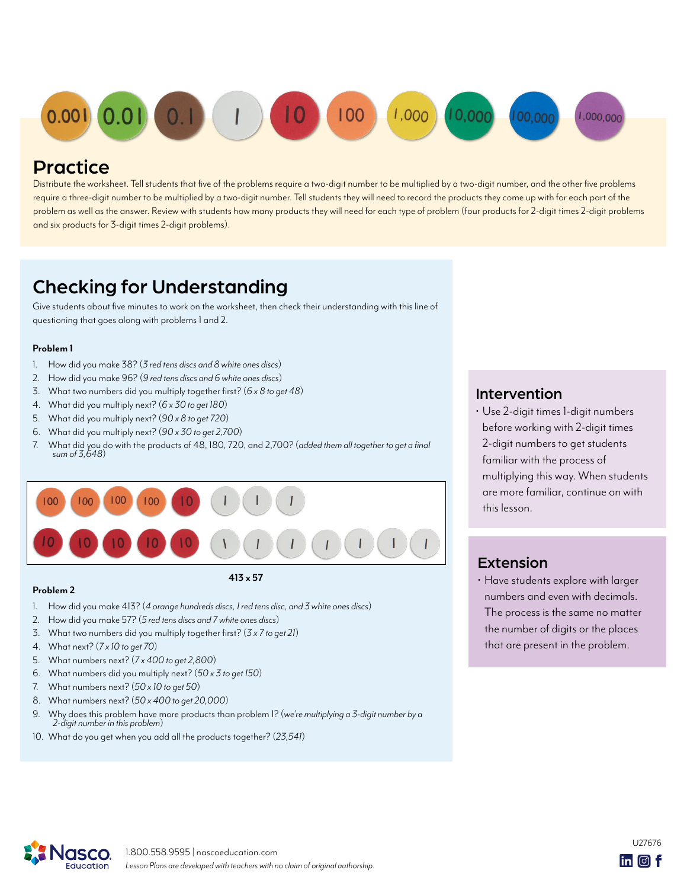

### **Practice**

Distribute the worksheet. Tell students that five of the problems require a two-digit number to be multiplied by a two-digit number, and the other five problems require a three-digit number to be multiplied by a two-digit number. Tell students they will need to record the products they come up with for each part of the problem as well as the answer. Review with students how many products they will need for each type of problem (four products for 2-digit times 2-digit problems and six products for 3-digit times 2-digit problems).

### Checking for Understanding

Give students about five minutes to work on the worksheet, then check their understanding with this line of questioning that goes along with problems 1 and 2.

#### **Problem 1**

- 1. How did you make 38? (*3 red tens discs and 8 white ones discs*)
- 2. How did you make 96? (*9 red tens discs and 6 white ones discs*)
- 3. What two numbers did you multiply together first? (*6 x 8 to get 48*)
- 4. What did you multiply next? (*6 x 30 to get 180*)
- 5. What did you multiply next? (*90 x 8 to get 720*)
- 6. What did you multiply next? (*90 x 30 to get 2,700*)
- 7. What did you do with the products of 48, 180, 720, and 2,700? (*added them all together to get a final sum of 3,648*)



#### **Problem 2**

- 1. How did you make 413? (*4 orange hundreds discs, 1 red tens disc, and 3 white ones discs*)
- 2. How did you make 57? (*5 red tens discs and 7 white ones discs*)
- 3. What two numbers did you multiply together first? (*3 x 7 to get 21*)
- 4. What next? (*7 x 10 to get 70*)
- 5. What numbers next? (*7 x 400 to get 2,800*)
- 6. What numbers did you multiply next? (*50 x 3 to get 150*)
- 7. What numbers next? (*50 x 10 to get 50*)
- 8. What numbers next? (*50 x 400 to get 20,000*)
- 9. Why does this problem have more products than problem 1? (*we're multiplying a 3-digit number by a 2-digit number in this problem*)
- 10. What do you get when you add all the products together? (*23,541*)

### Intervention

• Use 2-digit times 1-digit numbers before working with 2-digit times 2-digit numbers to get students familiar with the process of multiplying this way. When students are more familiar, continue on with this lesson.

### Extension

• Have students explore with larger numbers and even with decimals. The process is the same no matter the number of digits or the places that are present in the problem.



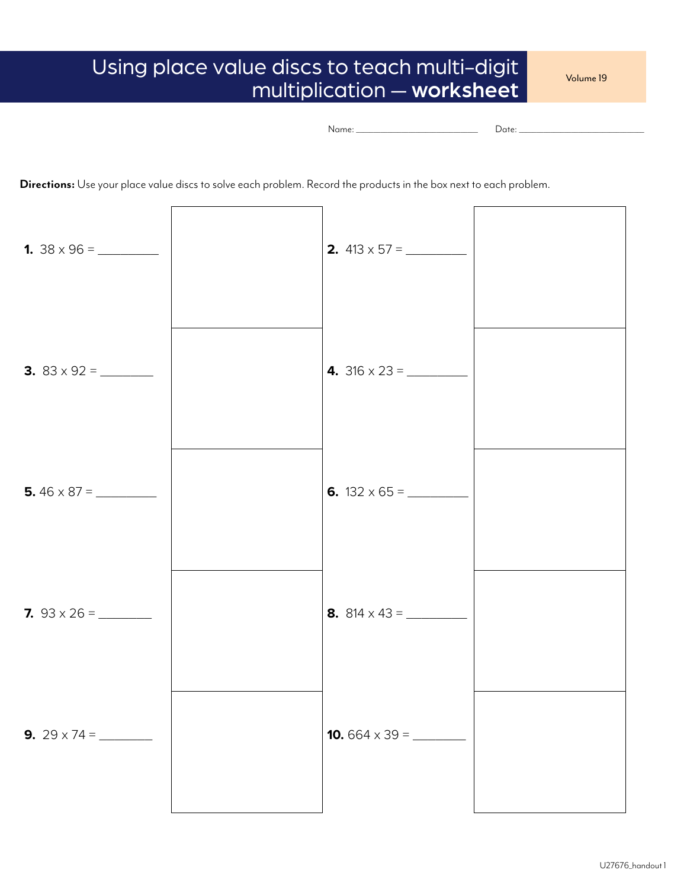### Using place value discs to teach multi-digit multiplication — worksheet

Volume 19

```
Name: ___________________________________ Date: ____________________________________
```
**Directions:** Use your place value discs to solve each problem. Record the products in the box next to each problem.